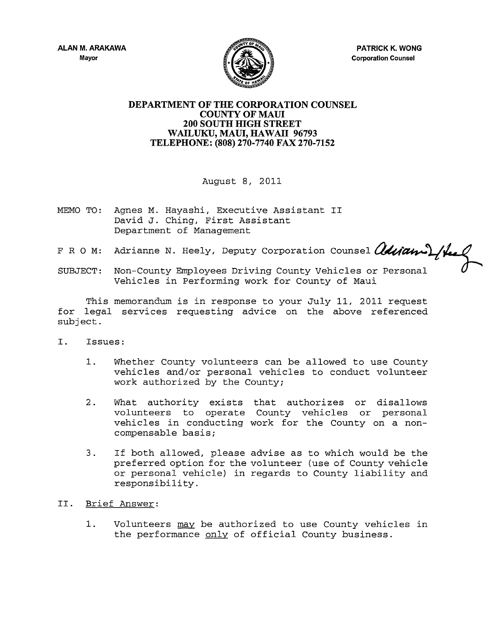**ALAN M. ARAKAWA Mayor** 



**PATRICK K. WONG Corporation Counsel** 

## **DEPARTMENT OF THE CORPORATION COUNSEL COUNTY OF MAUl 200 SOUTH HIGH STREET**  WAILUKU, MAUI, HAWAII 96793 **TELEPHONE: (808) 270-7740 FAX 270-7152**

August 8, 2011

- MEMO TO: Agnes M. Hayashi, Executive Assistant II David J. Ching, First Assistant Department of Management
- F R O M: Adrianne N. Heely, Deputy Corporation Counsel *adviant) (tel*
- SUBJECT: Non-County Employees Driving County Vehicles or Personal ~ Vehicles in Performing work for County of Maui

This memorandum is in response to your July 11, 2011 request for legal services requesting advice on the above referenced subject.

- I. Issues:
	- 1. Whether County volunteers can be allowed to use County vehicles and/or personal vehicles to conduct volunteer work authorized by the County;
	- 2. What authority exists that authorizes or disallows volunteers to operate County vehicles or personal vehicles in conducting work for the County on a noncompensable basis;
	- 3. If both allowed, please advise as to which would be the preferred option for the volunteer (use of County vehicle or personal vehicle) in regards to County liability and responsibility.
- II. Brief Answer:
	- 1. Volunteers may be authorized to use County vehicles in the performance only of official County business.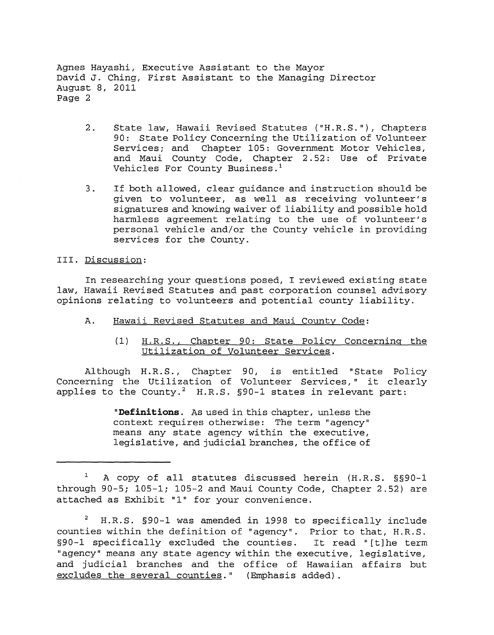- 2. State law, Hawaii Revised Statutes ("H.R.S."), Chapters 90: State Policy Concerning the Utilization of Volunteer Services; and Chapter 105: Government Motor Vehicles, and Maui County Code, Chapter 2. S2: Use of Private Vehicles For County Business.<sup>1</sup>
- 3. If both allowed, clear guidance and instruction should be given to volunteer, as well as receiving volunteer's signatures and knowing waiver of liability and possible hold harmless agreement relating to the use of volunteer's personal vehicle and/or the County vehicle in providing services for the County.

### III. Discussion:

In researching your questions posed, I reviewed existing state law, Hawaii Revised Statutes and past corporation counsel advisory opinions relating to volunteers and potential county liability.

- A. Hawaii Revised Statutes and Maui County Code:
	- (1) H.R.S., Chapter 90: State Policy Concerning the Utilization of Volunteer Services.

Although H.R.S., Chapter 90, is entitled "State Policy Concerning the Utilization of Volunteer Services," it clearly applies to the County.<sup>2</sup> H.R.S.  $\S 90-1$  states in relevant part:

> **"Definitions.** As used in this chapter, unless the context requires otherwise: The term "agency" means any state agency within the executive, legislative, and judicial branches, the office of

<sup>1</sup> A copy of all statutes discussed herein (H.R.S. §§90-1 through 90-S; 10S-1; 10S-2 and Maui County Code, Chapter 2.S2) are attached as Exhibit "1" for your convenience.

<sup>2</sup> H.R.S. §90-1 was amended in 1998 to specifically include counties within the definition of "agency". Prior to that, H.R.S. §90-1 specifically excluded the counties. It read "[t] he term "agency" means any state agency within the executive, legislative, and judicial branches and the office of Hawaiian affairs but excludes the several counties." (Emphasis added).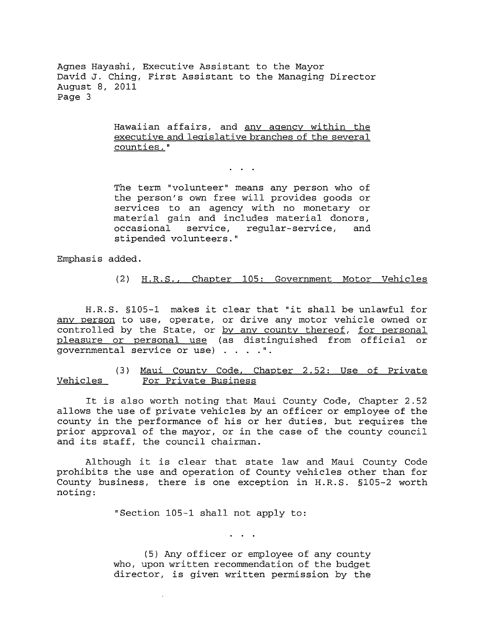> Hawaiian affairs, and any agency within the executive and legislative branches of the several counties."

> > $\mathbf{L}^{\text{max}}$  ,  $\mathbf{L}^{\text{max}}$

The term "volunteer" means any person who of the person's own free will provides goods or services to an agency with no monetary or material gain and includes material donors, occasional service, regular-service, and stipended volunteers."

Emphasis added.

## (2) H.R.S., Chapter lOS: Government Motor Vehicles

H.R.S. §10S-1 makes it clear that "it shall be unlawful for any person to use, operate, or drive any motor vehicle owned or controlled by the State, or by any county thereof, for personal pleasure or personal use (as distinguished from official or governmental service or use)  $\ldots$  . . . .

Vehicles (3) Maui County Code, Chapter 2.S2: Use of Private For Private Business

It is also worth noting that Maui County Code, Chapter 2.S2 allows the use of private vehicles by an officer or employee of the county in the performance of his or her duties, but requires the prior approval of the mayor, or in the case of the county council and its staff, the council chairman.

Although it is clear that state law and Maui County Code prohibits the use and operation of County vehicles other than for County business, there is one exception in H.R.S. §105-2 worth noting:

"Section 10S-1 shall not apply to:

 $\bullet$  .  $\bullet$  .  $\bullet$  .

(S) Any officer or employee of any county who, upon written recommendation of the budget director, is given written permission by the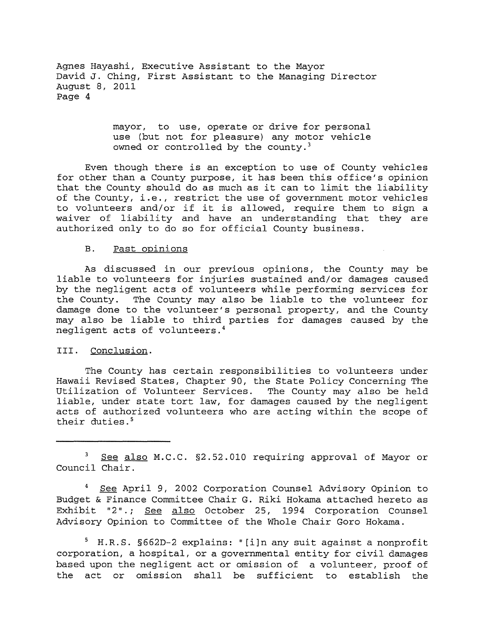> mayor, to use, operate or drive for personal use (but not for pleasure) any motor vehicle owned or controlled by the county.<sup>3</sup>

Even though there is an exception to use of County vehicles for other than a County purpose, it has been this office's opinion that the County should do as much as it can to limit the liability of the County, i.e., restrict the use of government motor vehicles to volunteers and/or if it is allowed, require them to sign a waiver of liability and have an understanding that they are authorized only to do so for official County business.

### B. Past opinions

As discussed in our previous opinions, the County may be liable to volunteers for injuries sustained and/or damages caused by the negligent acts of volunteers while performing services for the County. The County may also be liable to the volunteer for damage done to the volunteer's personal property, and the County may also be liable to third parties for damages caused by the negligent acts of volunteers. <sup>4</sup>

## III. Conclusion.

The County has certain responsibilities to volunteers under Hawaii Revised States, Chapter 90, the State Policy Concerning The Utilization of Volunteer Services. The County may also be held liable, under state tort law, for damages caused by the negligent acts of authorized volunteers who are acting within the scope of their duties.<sup>5</sup>

See also M.C.C. §2.52.010 requiring approval of Mayor or Council Chair.

See April 9, 2002 Corporation Counsel Advisory Opinion to Budget & Finance Committee Chair G. Riki Hokama attached hereto as Exhibit "2".; See also October 25, 1994 Corporation Counsel Advisory Opinion to Committee of the Whole Chair Goro Hokama.

5 H.R.S. §662D-2 explains: "[i]n any suit against a nonprofit corporation, a hospital, or a governmental entity for civil damages based upon the negligent act or omission of a volunteer, proof of the act or omission shall be sufficient to establish the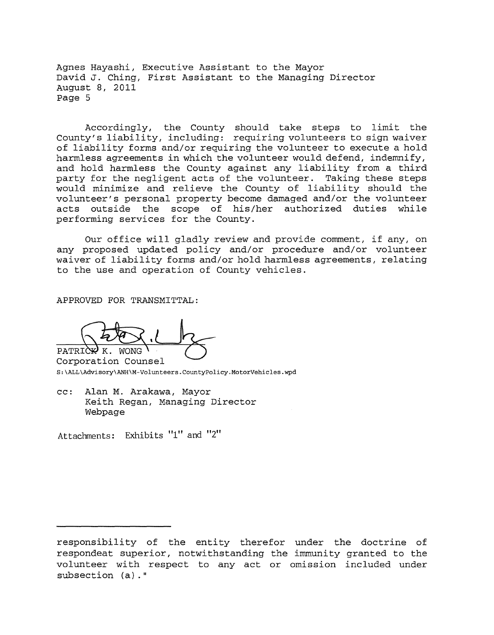Accordingly, the County should take steps to limit the County's liability, including: requiring volunteers to sign waiver of liability forms and/or requiring the volunteer to execute a hold harmless agreements in which the volunteer would defend, indemnify, and hold harmless the County against any liability from a third party for the negligent acts of the volunteer. Taking these steps would minimize and relieve the County of liability should the volunteer's personal property become damaged and/or the volunteer acts outside the scope of his/her authorized duties while performing services for the County.

Our office will gladly review and provide comment, if any, on any proposed updated policy and/or procedure and/or volunteer waiver of liability forms and/or hold harmless agreements, relating to the use and operation of County vehicles.

APPROVED FOR TRANSMITTAL:

PATRICK K. WONG

S:\ALL\Advisory\ANH\M-Volunteers.CountyPolicy.MotorVehicles.wpd

cc: Alan M. Arakawa, Mayor Keith Regan, Managing Director Webpage

Attachments: Exhibits "1" and "2"

responsibility of the entity therefor under the doctrine of respondeat superior, notwithstanding the immunity granted to the volunteer with respect to any act or omission included under  $subsection (a)$ ."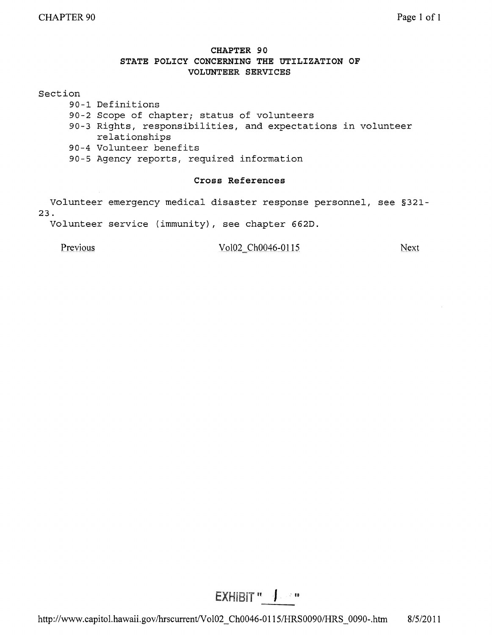## **CHAPTER 90 STATE POLICY CONCERNING THE UTILIZATION OF VOLUNTEER SERVICES**

## Section

- 90-1 Definitions
- 90-2 Scope of chapter; status of volunteers
- 90-3 Rights, responsibilities, and expectations in volunteer relationships
- 90-4 Volunteer benefits
- 90-5 Agency reports, required information

### **Cross References**

Volunteer emergency medical disaster response personnel, see §321- 23.

Volunteer service (immunity), see chapter 662D.

Previous

Vol02 Ch0046-0115

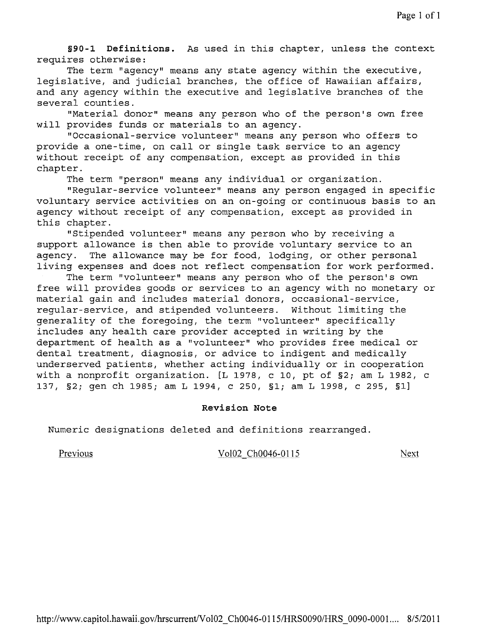**§90-1 Definitions.** As used in this chapter, unless the context requires otherwise:

The term "agency" means any state agency within the executive, legislative, and judicial branches, the office of Hawaiian affairs, and any agency within the executive and legislative branches of the several counties.

"Material donor" means any person who of the person's own free will provides funds or materials to an agency.

"Occasional-service volunteer" means any person who offers to provide a one-time, on call or single task service to an agency without receipt of any compensation, except as provided in this chapter.

The term "person" means any individual or organization.

"Regular-service volunteer" means any person engaged in specific voluntary service activities on an on-going or continuous basis to an agency without receipt of any compensation, except as provided in this chapter.

"Stipended volunteer" means any person who by receiving a support allowance is then able to provide voluntary service to an agency. The allowance may be for food, lodging, or other personal living expenses and does not reflect compensation for work performed.

The term "volunteer" means any person who of the person's own free will provides goods or services to an agency with no monetary or material gain and includes material donors, occasional-service, regular-service, and stipended volunteers. Without limiting the generality of the foregoing, the term "volunteer" specifically includes any health care provider accepted in writing by the department of health as a "volunteer" who provides free medical or dental treatment, diagnosis, or advice to indigent and medically underserved patients, whether acting individually or in cooperation with a nonprofit organization. [L 1978, c 10, pt of *§2j* am L 1982, c *137, §2j* gen ch *1985j* am L 1994, c 250, *§lj* am L 1998, c 295, §1]

## **Revision Note**

Numeric designations deleted and definitions rearranged.

Previous

Vol02 Ch0046-0115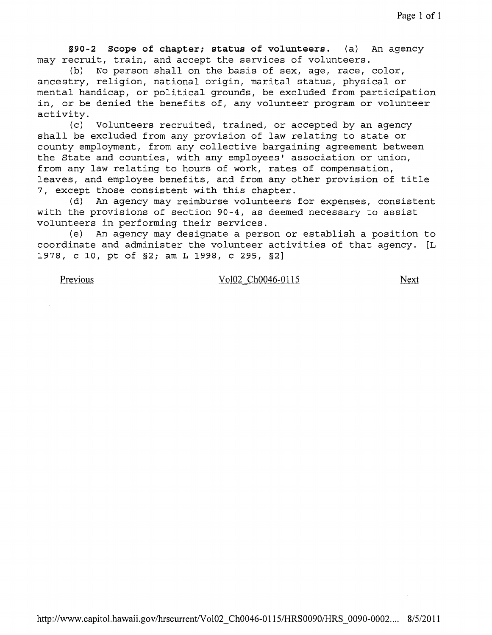**§90-2 Scope of chapter; status of volunteers.** (a) An agency may recruit, train, and accept the services of volunteers.

(b) No person shall on the basis of sex, age, race, color, ancestry, religion, national origin, marital status, physical or mental handicap, or political grounds, be excluded from participation in, or be denied the benefits of, any volunteer program or volunteer activity.

(c) Volunteers recruited, trained, or accepted by an agency shall be excluded from any provision of law relating to state or county employment, from any collective bargaining agreement between the State and counties, with any employees' association or union, from any law relating to hours of work, rates of compensation, leaves, and employee benefits, and from any other provision of title 7, except those consistent with this chapter.

(d) An agency may reimburse volunteers for expenses, consistent with the provisions of section 90-4, as deemed necessary to assist volunteers in performing their services.

(e) An agency may designate a person or establish a position to coordinate and administer the volunteer activities of that agency. [L 1978, c 10, pt of *§2i* am L 1998, c 295, §2]

Previous

Vol02 Ch0046-0115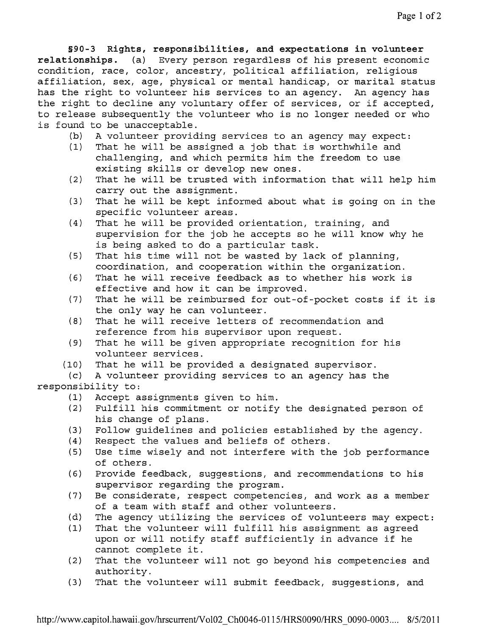**§90-3 Rights, responsibilities, and expectations in volunteer relationships.** (a) Every person regardless **of** his present economic condition, race, color, ancestry, political affiliation, religious affiliation, sex, age, physical or mental handicap, or marital status has the right to volunteer his services to an agency. An agency has the right to decline any voluntary offer of services, or if accepted, to release subsequently the volunteer who is no longer needed or who is found to be unacceptable.

- (b) A volunteer providing services to an agency may expect:
- (1) That he will be assigned a job that is worthwhile and challenging, and which permits him the freedom to use existing skills or develop new ones.
- (2) That he will be trusted with information that will help him carry out the assignment.
- (3) That he will be kept informed about what is going on in the specific volunteer areas.
- (4) That he will be provided orientation, training, and supervision for the job he accepts so he will know why he is being asked to do a particular task.
- (5) That his time will not be wasted by lack of planning, coordination, and cooperation within the organization.
- (6) That he will receive feedback as to whether his work is effective and how it can be improved.
- (7) That he will be reimbursed for out-of-pocket costs if it is the only way he can volunteer.
- (8) That he will receive letters of recommendation and reference from his supervisor upon request.
- (9) That he will be given appropriate recognition for his volunteer services.
- (10) That he will be provided a designated supervisor.

(c) A volunteer providing services to an agency has the responsibility to:

- (1) Accept assignments given to him.
- (2) Fulfill his commitment or notify the designated person of his change of plans.
- (3) Follow guidelines and policies established by the agency.
- (4) Respect the values and beliefs of others.
- (5) Use time wisely and not interfere with the job performance of others.
- (6) Provide feedback, suggestions, and recommendations to his supervisor regarding the program.
- (7) Be considerate, respect competencies, and work as a member of a team with staff and other volunteers.
- (d) The agency utilizing the services of volunteers may expect:
- (1) That the volunteer will fulfill his assignment as agreed upon or will notify staff sufficiently in advance if he cannot complete it.
- (2) That the volunteer will not go beyond his competencies and authority.
- (3) That the volunteer will submit feedback, suggestions, and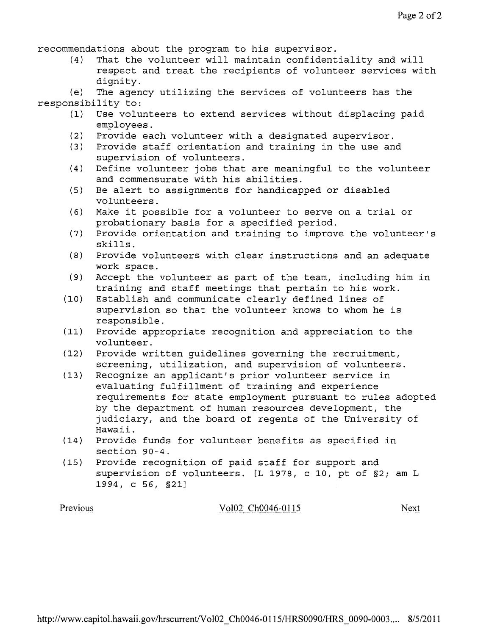recommendations about the program to his supervisor.

(4) That the volunteer will maintain confidentiality and will respect and treat the recipients of volunteer services with dignity.

(e) The agency utilizing the services of volunteers has the responsibility to:<br>(1) Use volue

- Use volunteers to extend services without displacing paid employees.
- (2) Provide each volunteer with a designated supervisor.<br>(3) Provide staff orientation and training in the use an
- Provide staff orientation and training in the use and supervision of volunteers.
- (4) Define volunteer jobs that are meaningful to the volunteer and commensurate with his abilities.
- (5) Be alert to assignments for handicapped or disabled volunteers.
- (6) Make it possible for a volunteer to serve on a trial or probationary basis for a specified period.
- (7) Provide orientation and training to improve the volunteer's skills.
- (8) Provide volunteers with clear instructions and an adequate work space.
- (9) Accept the volunteer as part of the team, including him in training and staff meetings that pertain to his work.
- (10) Establish and communicate clearly defined lines of supervision so that the volunteer knows to whom he is responsible.
- (11) Provide appropriate recognition and appreciation to the volunteer.
- (12) Provide written guidelines governing the recruitment, screening, utilization, and supervision of volunteers.
- (13) Recognize an applicant's prior volunteer service in evaluating fulfillment of training and experience requirements for state employment pursuant to rules adopted by the department of human resources development, the judiciary, and the board of regents of the University of Hawaii.
- (14) Provide funds for volunteer benefits as specified in section 90-4.
- (15) Provide recognition of paid staff for support and supervision of volunteers. [L 1978, c 10, pt of §2; am L 1994, c 56, §21]

Previous

Vol02 Ch0046-0115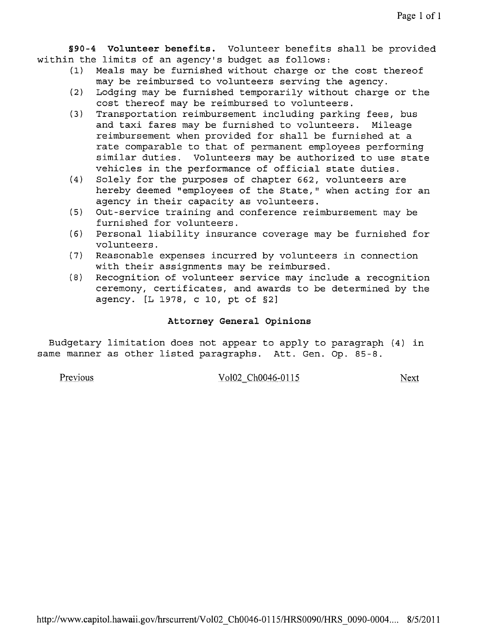**§90-4 Volunteer benefits.** Volunteer benefits shall be provided within the limits of an agency's budget as follows:

- (1) Meals may be furnished without charge or the cost thereof may be reimbursed to volunteers serving the agency.
- (2) Lodging may be furnished temporarily without charge or the cost thereof may be reimbursed to volunteers.
- (3) Transportation reimbursement including parking fees, bus and taxi fares may be furnished to volunteers. Mileage reimbursement when provided for shall be furnished at a rate comparable to that of permanent employees performing similar duties. Volunteers may be authorized to use state vehicles in the performance of official state duties.
- (4) Solely for the purposes of chapter 662, volunteers are hereby deemed "employees of the State," when acting for an agency in their capacity as volunteers.
- (5) Out-service training and conference reimbursement may be furnished for volunteers.
- (6) Personal liability insurance coverage may be furnished for volunteers.
- (7) Reasonable expenses incurred by volunteers in connection with their assignments may be reimbursed.
- (8) Recognition of volunteer service may include a recognition ceremony, certificates, and awards to be determined by the agency. [L 1978, c 10, pt of §2)

# **Attorney General Opinions**

Budgetary limitation does not appear to apply to paragraph (4) in same manner as other listed paragraphs. Att. Gen. Op. 85-8.

Previous

Vol02 Ch0046-0115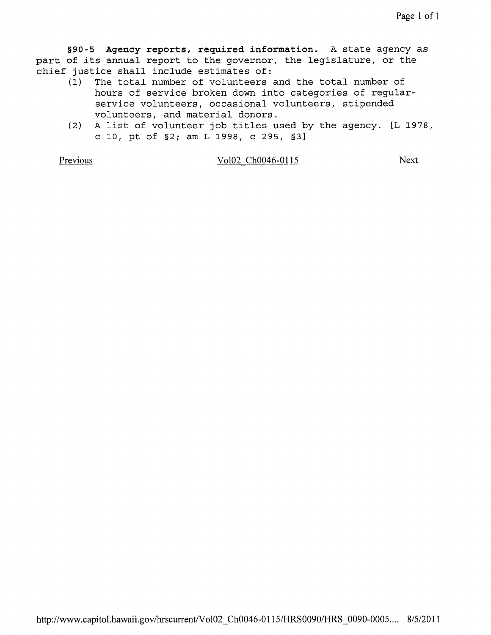**§90-S Agency reports, required information.** A state agency as part of its annual report to the governor, the legislature, or the chief justice shall include estimates of:

- (1) The total number of volunteers and the total number of hours of service broken down into categories of regularservice volunteers, occasional volunteers, stipended volunteers, and material donors.
- (2) A list of volunteer job titles used by the agency. [L 1978, c 10, pt of §2; am L 1998, c 295, §3]

Previous Vol02 Ch0046-0115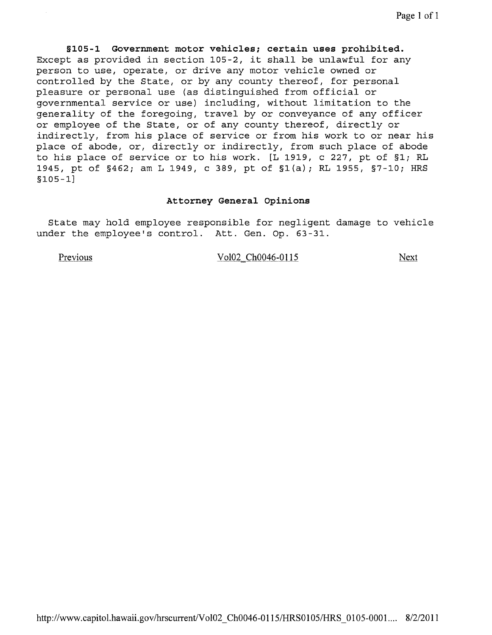**§105-1 Government motor vehicles; certain uses prohibited.**  Except as provided in section 105-2, it shall be unlawful for any person to use, operate, or drive any motor vehicle owned or controlled by the State, or by any county thereof, for personal pleasure or personal use (as distinguished from official or governmental service or use) including, without limitation to the generality of the foregoing, travel by or conveyance of any officer or employee of the State, or of any county thereof, directly or indirectly, from his place of service or from his work to or near his place of abode, or, directly or indirectly, from such place of abode to his place of service or to his work. [L 1919, c 227, pt of *§1i* RL 1945, pt of *§462i* am L 1949, c 389, pt of §1(a) *i* RL 1955, *§7-10i* HRS §105 -1]

## **Attorney General Opinions**

State may hold employee responsible for negligent damage to vehicle under the employee's control. Att. Gen. Op. 63-31.

Previous Vol02 Ch0046-0115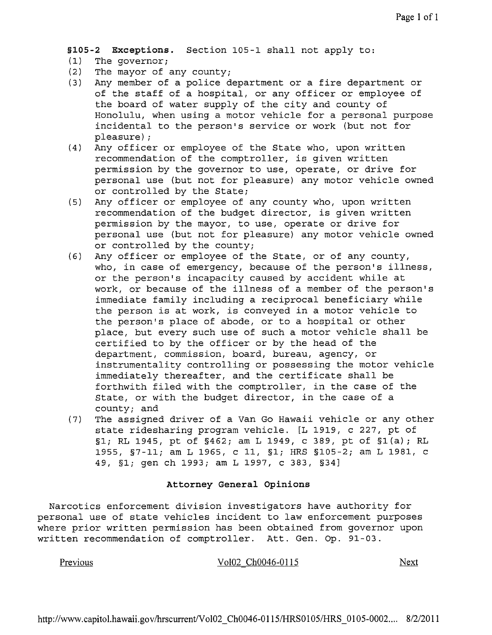**§10S-2 Exceptions.** Section 105-1 shall not apply to:

- (1) The governor;<br>(2) The mayor of
- (2) The mayor of any county;<br>(3) Any member of a police d
- Any member of a police department or a fire department or of the staff of a hospital, or any officer or employee of the board of water supply of the city and county of Honolulu, when using a motor vehicle for a personal purpose incidental to the person's service or work (but not for pleasure) ;
- (4) Any officer or employee of the State who, upon written recommendation of the comptroller, is given written permission by the governor to use, operate, or drive for personal use (but not for pleasure) any motor vehicle owned or controlled by the State;
- (5) Any officer or employee of any county who, upon written recommendation of the budget director, is given written permission by the mayor, to use, operate or drive for personal use (but not for pleasure) any motor vehicle owned or controlled by the county;
- (6) Any officer or employee of the State, or of any county, who, in case of emergency, because of the person's illness, or the person's incapacity caused by accident while at work, or because of the illness of a member of the person's immediate family including a reciprocal beneficiary while the person is at work, is conveyed in a motor vehicle to the person's place of abode, or to a hospital or other place, but every such use of such a motor vehicle shall be certified to by the officer or by the head of the department, commission, board, bureau, agency, or instrumentality controlling or possessing the motor vehicle immediately thereafter, and the certificate shall be forthwith filed with the comptroller, in the case of the State, or with the budget director, in the case of a county; and
- (7) The assigned driver of a Van Go Hawaii vehicle or any other state ridesharing program vehicle. [L 1919, c 227, pt of §1; RL 1945, pt of §462; am L 1949, c 389, pt of §1(a); RL 1955, §7-11; am L 1965, c II, §1; HRS §105-2; am L 1981, c 49, §1; gen ch 1993; am L 1997, c 383, §34]

## **Attorney General Opinions**

Narcotics enforcement division investigators have authority for personal use of state vehicles incident to law enforcement purposes where prior written permission has been obtained from governor upon written recommendation of comptroller. Att. Gen. Op. 91-03.

Previous Vol02 Ch0046-0115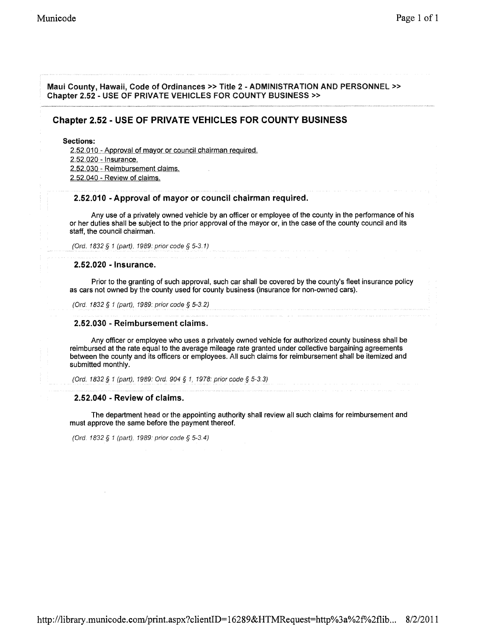Maui County, Hawaii, Code of Ordinances >> Title 2 - ADMINISTRATION AND PERSONNEL >> Chapter 2.52 - USE OF PRIVATE VEHICLES FOR COUNTY BUSINESS»

## **Chapter 2.52 - USE OF PRIVATE VEHICLES FOR COUNTY BUSINESS**

Sections:

2.52.010 - Approval of mayor or council chairman required.

2.52.020 - insurance.

2.52.030 - Reimbursement claims.

2.52.040 - Review of claims.

#### 2.52.010 - Approval of mayor or council chairman required.

Any use of a privately owned vehicle by an officer or employee of the county in the performance of his or her duties shall be subject to the prior approval of the mayor or, in the case of the county council and its staff, the council chairman.

(Ord. 1832 § 1 (part). 1989: prior code § 5-3.1)

#### 2.52.020 - Insurance.

Prior to the granting of such approval, such car shall be covered by the county's fleet insurance policy as cars not owned by the county used for county business (insurance for non-owned cars).

(Ord. 1832 § 1 (part), 1989: prior code § 5-3.2)

#### 2.52.030 - Reimbursement claims.

Any officer or employee who uses a privately owned vehicle for authorized county business shall be reimbursed at the rate equal to the average mileage rate granted under collective bargaining agreements between the county and its officers or employees. All such claims for reimbursement shall be itemized and submitted monthly.

(Ord. 1832 § 1 (part). 1989: Ord. 904 § 1, 1978. prior code § 5-33)

#### 2.52.040 - Review of claims.

The department head or the appointing authority shall review all such claims for reimbursement and must approve the same before the payment thereof.

(Ord. 1832 § 1 (part). 1989: prior code § 5-3.4)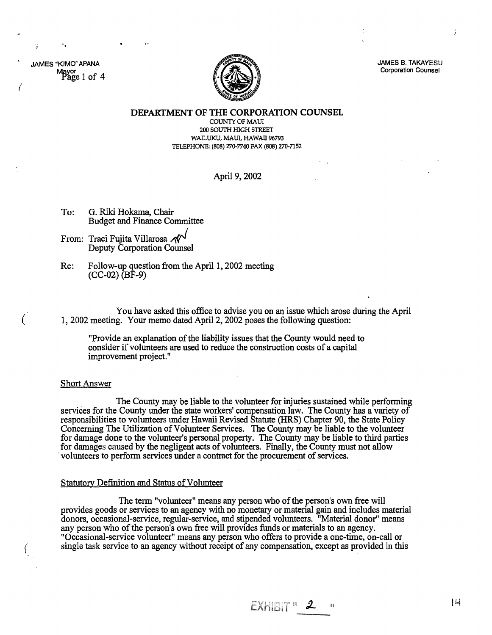JAMES "KIMO' APANA Mayor Page 1 of 4

('

÷,

(



JAMES B. TAKAYESU Corporation Counsel

DEPARTMENT OF THE CORPORATION COUNSEL

COUNTY OF MAUl 200 SOUTH HIGH STREET WAILUKU, MAUl, HAWAII 96793 TEI:EPHONE: (808) 270-7740 FAX (808) 270-7152

## April 9, 2002

- To: G. Riki Hokama, Chair Budget and Finance Committee
- From: Traci Fujita Villarosa  $\mathcal{N}$ <br>Deputy Corporation Counsel
- Re: Follow-up question from the April 1, 2002 meeting (CC-02) (BF-9)

You have asked this office to advise you on an issue which arose during the April 1, 2002 meeting. Your memo dated April 2, 2002 poses the following question:

"Provide an explanation of the liability issues that the County would need to consider if volunteers are used to reduce the construction costs of a capital improvement project."

#### Short Answer

The County may be liable to the volunteer for injuries sustained while performing services for the County under the state workers' compensation law. The County has a variety of responsibilities to volunteers under Hawaii Revised Statute (HRS) Chapter 90, the State Policy Concerning The Utilization of Volunteer Services. The County may be liable to the volunteer for damage done to the volunteer's personal property. The County may be liable to third parties for damages caused by the negligent acts of volunteers. Finally, the County must not allow . volunteers to perform services under a contract for the procurement of services.

### Statutory Definition and Status of Volunteer

The term "volunteer" means any person who of the person's own free will provides goods or services to an agency with no monetary or material gain and includes material donors, occasional-service, regular-service, and stipended volunteers. "Material donor" means any person who of the person's own free will provides funds or materials to an agency.<br>"Occasional-service volunteer" means any person who offers to provide a one-time, on-call or  $\gamma$  single task service to an agency without receipt of any compensation, except as provided in this

EXHIBIT "  $2$ 

 $|4$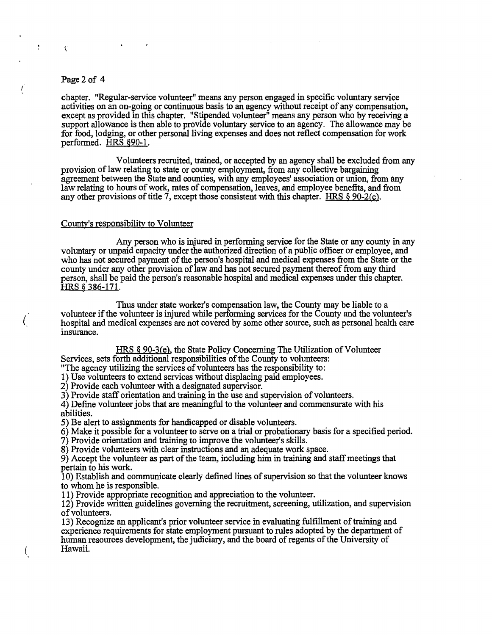## Page 2 of 4

 $\mathbf{v}$ 

!

Ţ

(

 $\left($ 

chapter. "Regular-service volunteer" means any person engaged in specific voluntary service activities on an on-going or continuous basis to an agency without receipt of any compensation, except as provided in this chapter. "Stipended volunteer" means any person who by receiving a support allowance is then able to provide voluntary service to an agency. The allowance may be for food, lodging, or other personal living expenses and does not reflect compensation for work performed. HRS §90-1.

Volunteers recruited, trained, or accepted by an agency shall be excluded from any provision of law relating to state or county employment, from any collective bargaining agreement between the State and counties, with any employees' association or union, from any law relating to hours of work, rates of compensation, leaves, and employee benefits, and from any other provisions of title 7, except those consistent with this chapter. HRS  $\S 90-2(c)$ .

### County's responsibility to Volunteer

Any person who is injured in performing service for the State or any county in any voluntary or unpaid capacity under the authorized direction of a public officer or employee, and who has not secured payment of the person's hospital and medical expenses from the State or the county under any other provision of law and has not secured payment thereof from any third person, shall be paid the person's reasonable hospital and medical expenses under this chapter. HRS § 386-171.

Thus under state worker's compensation law, the County may be liable to a volunteer if the volunteer is injured while performing services for the County and the volunteer's hospital and medical expenses are not covered by some other source, such as personal health care insurance.

HRS § 90-3(e), the State Policy Concerning The Utilization of Volunteer

Services, sets forth additional responsibilities of the County to volunteers:

"The agency utilizing the services of volunteers has the responsibility to:

1) Use volunteers to extend services without displacing paid employees.

2) Provide each volunteer with a designated supervisor.

3) Provide staff orientation and training in the use and supervision of volunteers.

4) Define volunteer jobs that are meaningful to the volunteer and commensurate with his abilities.

5) Be alert to assignments for handicapped or disable volunteers.

6) Make it possible for a volunteer to serve on a trial or probationary basis for a specified period.

7) Provide orientation and training to improve the volunteer's skills.

8) Provide volunteers with clear instructions and an adequate work space.

9) Accept the volunteer as part of the team, including him in training and staff meetings that pertain to his work.

10) Establish and communicate clearly defined lines of supervision so that the volunteer knows to whom he is responsible.

11) Provide appropriate recognition and appreciation to the volunteer.

12) Provide written guidelines governing the recruitment, screening, utilization, and supervision of volunteers.

13) Recognize an applicant's prior volunteer service in evaluating fulfillment of training and experience requirements for state employment pursuant to rules adopted by the department of human resources development, the judiciary, and the board of regents of the University of Hawaii.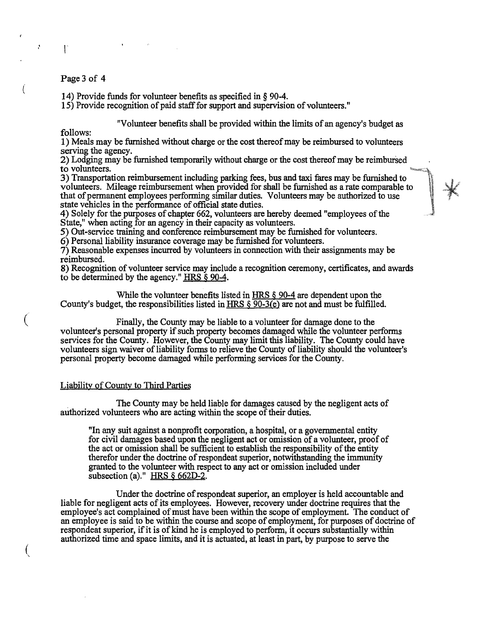### Page 3 of 4

 $\mathbf{I}$ 

(

 $\mathcal{L}$ 

(

14) Provide funds for volunteer benefits as specified in § 90-4.

15) Provide recognition of paid stafffor support and supervision of volunteers."

"Volunteer benefits shall be provided within the limits of an agency's budget as

follows:

1) Meals may be furnished without charge or the cost thereof may be reimbursed to volunteers serving the agency.

2) Lodging may be furnished temporarily without charge or the cost thereof may be reimbursed to volunteers.

3) Transportation reimbursement including parking fees, bus and taxi fares may be furnished to volunteers. Mileage reimbursement when provided for shall be furnished as a rate comparable to that of permanent employees performing similar duties. Volunteers may be authorized to use state vehicles in the performance of official state duties.

4) Solely for the purposes of chapter 662, volunteers are hereby deemed "employees of the State," when acting for an agency in their capacity as volunteers.

5) Out-service training and conference reimbursement may be furnished for volunteers.

6) Personal liability insurance coverage may be furnished for volunteers.

7) Reasonable expenses incurred by volunteers in connection with their assignments may be reimbursed.

8) Recognition of volunteer service may include a recognition ceremony, certificates, and awards to be determined by the agency." HRS § 90-4.

While the volunteer benefits listed in HRS  $\S$  90-4 are dependent upon the County's budget, the responsibilities listed in HRS  $\S$  90-3(e) are not and must be fulfilled.

Finally, the County may be liable to a volunteer for damage done to the volunteer's personal property if such property becomes damaged while the volunteer performs services for the County. However, the County may limit this liability. The County could have volunteers sign waiver of liability forms to relieve the County of liability should the volunteer's personal property become damaged while performing services for the County.

#### Liability of County to Third Parties

. The County may be held liable for damages caused by the negligent acts of authorized volunteers who are acting within the scope of their duties.

"In any suit against a nonprofit corporation, a hospital, or a governmental entity for civil damages based upon the negligent act or omission of a volunteer, proof of the act or omission shall be sufficient to establish the responsibility of the entity therefor under the doctrine of respondeat superior, notwithstanding the immunity granted to the volunteer with respect to any act or omission included under subsection (a)." HRS § 662D-2.

Under the doctrine of respondeat superior, an employer is held accountable and liable for negligent acts of its employees. However, recovery under doctrine requires that the employee's act complained of must have been within the scope of employment. The conduct of an employee is said to be within the course and scope of employment, for purposes of doctrine of respondeat superior, if it is of kind he is employed to perform, it occurs substantially within authorized time and space limits, and it is actuated, at least in part, by purpose to serve the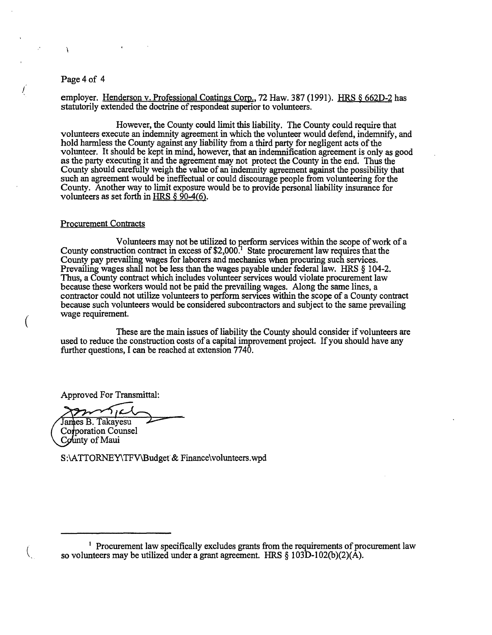## Page 4 of 4

 $\mathbf{r}$ 

/

(

 $\left($ 

employer. Henderson v. Professional Coatings Corp., 72 Haw. 387 (1991). HRS § 662D-2 has statutorily extended the doctrine of respondeat superior to volunteers.

However, the County could limit this liability. The County could require that volunteers execute an indemnity agreement in which the volunteer would defend, indemnify, and hold harmless the County against any liability from a third party for negligent acts of the volunteer. It should be kept in mind, however, that an indemnification agreement is only as good as the party executing it and the agreement may not protect the County in the end. Thus the County should carefully weigh the value of an indemnity agreement against the possibility that such an agreement would be ineffectual or could discourage people from volunteering for the County. Another way to limit exposure would be to provide personal liability insurance for volunteers as set forth in HRS  $\delta$  90-4(6).

## Procurement Contracts

Volunteers may not be utilized to perform services within the scope of work of a County construction contract in excess of  $2,000$ .<sup>1</sup> State procurement law requires that the County pay prevailing wages for laborers and mechanics when procuring such services. Prevailing wages shall not be less than the wages payable under federal law. HRS § 104-2. Thus, a County contract which includes volunteer services would violate procurement law because these workers would not be paid the prevailing wages. Along the same lines, a contractor could not utilize volunteers to perform services within the scope of a County contract because such volunteers would be considered subcontractors and subject to the same prevailing wage requirement.

These are the main issues of liability the County should consider if volunteers are used to reduce the construction costs of a capital improvement project. If you should have any further questions, I can be reached at extension 7740.

Approved For Transmittal:

James B. Takayesu

Corporation Counsel County of Maui

S:\ATTORNEY\TFV\Budget & Finance\volunteers.wpd

 $<sup>1</sup>$  Procurement law specifically excludes grants from the requirements of procurement law</sup> so volunteers may be utilized under a grant agreement. HRS  $\S$  103D-102(b)(2)( $\hat{A}$ ).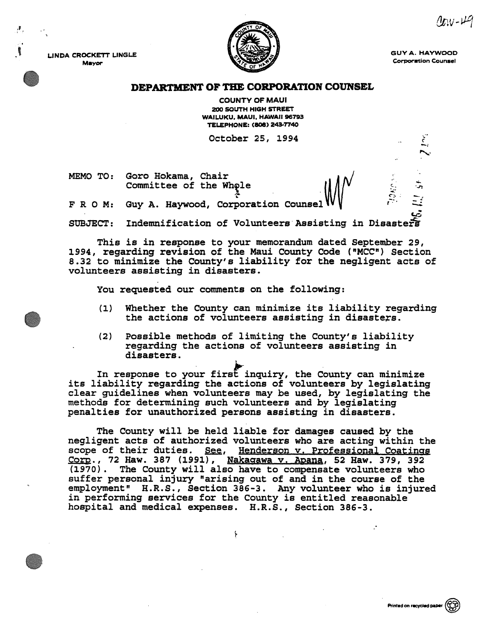$\mu_{\rm EU}$ 

GUY A. HAYWOOD Corporation Counsel

....  $\mathcal{Q}$  .





# DEPARTMENT OF THE CORPORATION COUNSEL

COUNTY OF MAUl 200 SOUTH HIGH STREET WAILUKU, MAUl, HAWAII 96793 TELEPHONE: (808) 243-7740

October 25, 1994

MEMO TO: Goro Hokama, Chair Committee of the Wh**ole**  $\sum_{k=1}^{n}$ 

FRO M: Guy A. Haywood, Corporation Counse

CoO SUBJECT: Indemnification of Volunteers Assisting in Disasters

This is in response to your memorandum dated September 29, 1994, regarding revision of the Maui County Code ("MCC") Section 8.32 to minimize the County's liability for the negligent acts of volunteers assisting in disasters.

You requested our comments on the following:

- (1) Whether the County can minimize its liability regarding the actions of volunteers assisting in disasters.
- (2) possible methods of limiting the County's liability regarding the actions of volunteers assisting in disasters.

In response to your first inquiry, the County can minimize<br>its liability regarding the actions of volunteers by legislating clear guidelines when volunteers may be used, by legislating the methods for determining such volunteers and by legislating penalties for unauthorized persons assisting in disasters.

The County will be held liable for damages caused by the negligent acts of authorized volunteers who are acting within the scope of their duties. See, Henderson v. Professional Coatings  $Corp.$ , 72 Haw. 387 (1991), Nakagawa v. Apana, 52 Haw. 379, 392 (1970). The County will also have to compensate volunteers who suffer personal injury "arising out of and in the course of the employment" H.R.S., Section 386-3. Any volunteer who is injured in performing services for the County is entitled reasonable hospital and medical expenses. H.R.S., Section 386-3.

۶

Printed on recycled paper